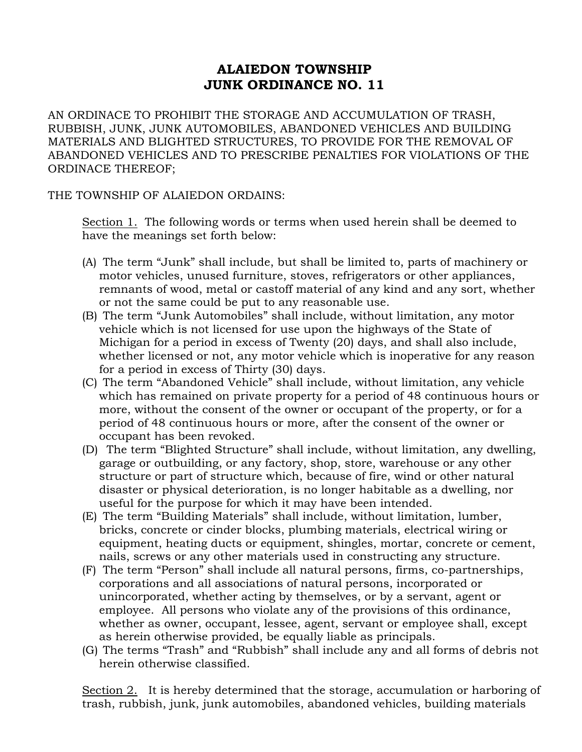## ALAIEDON TOWNSHIP JUNK ORDINANCE NO. 11

AN ORDINACE TO PROHIBIT THE STORAGE AND ACCUMULATION OF TRASH, RUBBISH, JUNK, JUNK AUTOMOBILES, ABANDONED VEHICLES AND BUILDING MATERIALS AND BLIGHTED STRUCTURES, TO PROVIDE FOR THE REMOVAL OF ABANDONED VEHICLES AND TO PRESCRIBE PENALTIES FOR VIOLATIONS OF THE ORDINACE THEREOF;

THE TOWNSHIP OF ALAIEDON ORDAINS:

Section 1. The following words or terms when used herein shall be deemed to have the meanings set forth below:

- (A) The term "Junk" shall include, but shall be limited to, parts of machinery or motor vehicles, unused furniture, stoves, refrigerators or other appliances, remnants of wood, metal or castoff material of any kind and any sort, whether or not the same could be put to any reasonable use.
- (B) The term "Junk Automobiles" shall include, without limitation, any motor vehicle which is not licensed for use upon the highways of the State of Michigan for a period in excess of Twenty (20) days, and shall also include, whether licensed or not, any motor vehicle which is inoperative for any reason for a period in excess of Thirty (30) days.
- (C) The term "Abandoned Vehicle" shall include, without limitation, any vehicle which has remained on private property for a period of 48 continuous hours or more, without the consent of the owner or occupant of the property, or for a period of 48 continuous hours or more, after the consent of the owner or occupant has been revoked.
- (D) The term "Blighted Structure" shall include, without limitation, any dwelling, garage or outbuilding, or any factory, shop, store, warehouse or any other structure or part of structure which, because of fire, wind or other natural disaster or physical deterioration, is no longer habitable as a dwelling, nor useful for the purpose for which it may have been intended.
- (E) The term "Building Materials" shall include, without limitation, lumber, bricks, concrete or cinder blocks, plumbing materials, electrical wiring or equipment, heating ducts or equipment, shingles, mortar, concrete or cement, nails, screws or any other materials used in constructing any structure.
- (F) The term "Person" shall include all natural persons, firms, co-partnerships, corporations and all associations of natural persons, incorporated or unincorporated, whether acting by themselves, or by a servant, agent or employee. All persons who violate any of the provisions of this ordinance, whether as owner, occupant, lessee, agent, servant or employee shall, except as herein otherwise provided, be equally liable as principals.
- (G) The terms "Trash" and "Rubbish" shall include any and all forms of debris not herein otherwise classified.

Section 2. It is hereby determined that the storage, accumulation or harboring of trash, rubbish, junk, junk automobiles, abandoned vehicles, building materials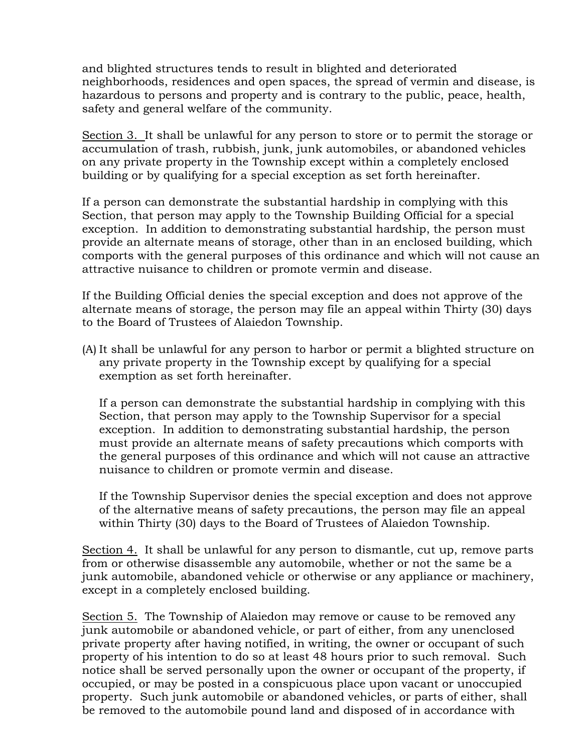and blighted structures tends to result in blighted and deteriorated neighborhoods, residences and open spaces, the spread of vermin and disease, is hazardous to persons and property and is contrary to the public, peace, health, safety and general welfare of the community.

Section 3. It shall be unlawful for any person to store or to permit the storage or accumulation of trash, rubbish, junk, junk automobiles, or abandoned vehicles on any private property in the Township except within a completely enclosed building or by qualifying for a special exception as set forth hereinafter.

If a person can demonstrate the substantial hardship in complying with this Section, that person may apply to the Township Building Official for a special exception. In addition to demonstrating substantial hardship, the person must provide an alternate means of storage, other than in an enclosed building, which comports with the general purposes of this ordinance and which will not cause an attractive nuisance to children or promote vermin and disease.

If the Building Official denies the special exception and does not approve of the alternate means of storage, the person may file an appeal within Thirty (30) days to the Board of Trustees of Alaiedon Township.

(A) It shall be unlawful for any person to harbor or permit a blighted structure on any private property in the Township except by qualifying for a special exemption as set forth hereinafter.

If a person can demonstrate the substantial hardship in complying with this Section, that person may apply to the Township Supervisor for a special exception. In addition to demonstrating substantial hardship, the person must provide an alternate means of safety precautions which comports with the general purposes of this ordinance and which will not cause an attractive nuisance to children or promote vermin and disease.

If the Township Supervisor denies the special exception and does not approve of the alternative means of safety precautions, the person may file an appeal within Thirty (30) days to the Board of Trustees of Alaiedon Township.

Section 4. It shall be unlawful for any person to dismantle, cut up, remove parts from or otherwise disassemble any automobile, whether or not the same be a junk automobile, abandoned vehicle or otherwise or any appliance or machinery, except in a completely enclosed building.

Section 5. The Township of Alaiedon may remove or cause to be removed any junk automobile or abandoned vehicle, or part of either, from any unenclosed private property after having notified, in writing, the owner or occupant of such property of his intention to do so at least 48 hours prior to such removal. Such notice shall be served personally upon the owner or occupant of the property, if occupied, or may be posted in a conspicuous place upon vacant or unoccupied property. Such junk automobile or abandoned vehicles, or parts of either, shall be removed to the automobile pound land and disposed of in accordance with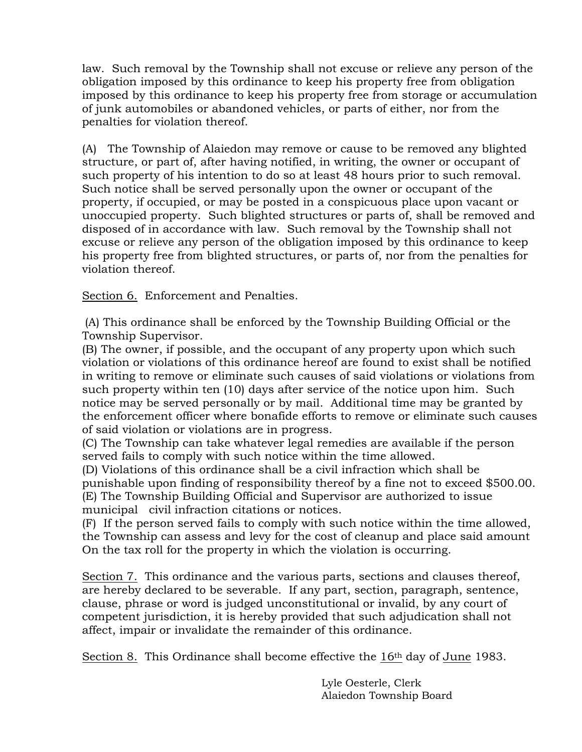law. Such removal by the Township shall not excuse or relieve any person of the obligation imposed by this ordinance to keep his property free from obligation imposed by this ordinance to keep his property free from storage or accumulation of junk automobiles or abandoned vehicles, or parts of either, nor from the penalties for violation thereof.

(A) The Township of Alaiedon may remove or cause to be removed any blighted structure, or part of, after having notified, in writing, the owner or occupant of such property of his intention to do so at least 48 hours prior to such removal. Such notice shall be served personally upon the owner or occupant of the property, if occupied, or may be posted in a conspicuous place upon vacant or unoccupied property. Such blighted structures or parts of, shall be removed and disposed of in accordance with law. Such removal by the Township shall not excuse or relieve any person of the obligation imposed by this ordinance to keep his property free from blighted structures, or parts of, nor from the penalties for violation thereof.

Section 6. Enforcement and Penalties.

(A) This ordinance shall be enforced by the Township Building Official or the Township Supervisor.

(B) The owner, if possible, and the occupant of any property upon which such violation or violations of this ordinance hereof are found to exist shall be notified in writing to remove or eliminate such causes of said violations or violations from such property within ten (10) days after service of the notice upon him. Such notice may be served personally or by mail. Additional time may be granted by the enforcement officer where bonafide efforts to remove or eliminate such causes of said violation or violations are in progress.

(C) The Township can take whatever legal remedies are available if the person served fails to comply with such notice within the time allowed.

(D) Violations of this ordinance shall be a civil infraction which shall be punishable upon finding of responsibility thereof by a fine not to exceed \$500.00. (E) The Township Building Official and Supervisor are authorized to issue municipal civil infraction citations or notices.

(F) If the person served fails to comply with such notice within the time allowed, the Township can assess and levy for the cost of cleanup and place said amount On the tax roll for the property in which the violation is occurring.

Section 7. This ordinance and the various parts, sections and clauses thereof, are hereby declared to be severable. If any part, section, paragraph, sentence, clause, phrase or word is judged unconstitutional or invalid, by any court of competent jurisdiction, it is hereby provided that such adjudication shall not affect, impair or invalidate the remainder of this ordinance.

Section 8. This Ordinance shall become effective the  $16<sup>th</sup>$  day of June 1983.

 Lyle Oesterle, Clerk Alaiedon Township Board